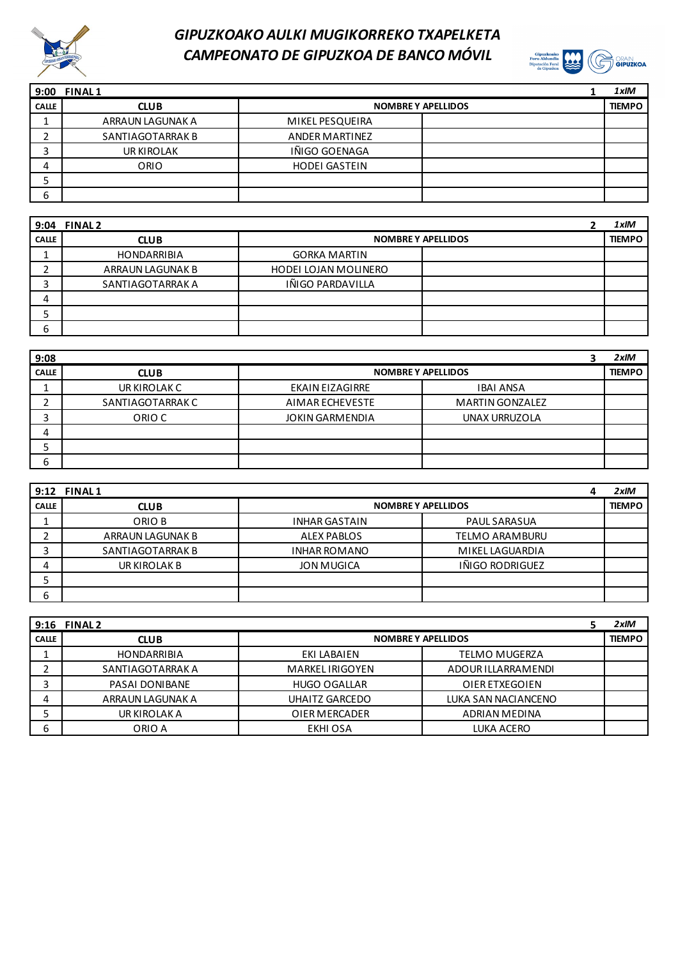



| 9:00         | <b>FINAL1</b>    |                           | 1xIM          |
|--------------|------------------|---------------------------|---------------|
| <b>CALLE</b> | <b>CLUB</b>      | <b>NOMBRE Y APELLIDOS</b> | <b>TIEMPO</b> |
|              | ARRAUN LAGUNAK A | MIKEL PESQUEIRA           |               |
|              | SANTIAGOTARRAK B | <b>ANDER MARTINEZ</b>     |               |
| ∽            | UR KIROLAK       | IÑIGO GOENAGA             |               |
| 4            | ORIO             | <b>HODEI GASTEIN</b>      |               |
|              |                  |                           |               |
| ь            |                  |                           |               |

|              | 9:04 FINAL 2       |                           | 1xIM          |
|--------------|--------------------|---------------------------|---------------|
| <b>CALLE</b> | <b>CLUB</b>        | <b>NOMBRE Y APELLIDOS</b> | <b>TIEMPO</b> |
|              | <b>HONDARRIBIA</b> | <b>GORKA MARTIN</b>       |               |
|              | ARRAUN LAGUNAK B   | HODEI LOJAN MOLINERO      |               |
|              | SANTIAGOTARRAK A   | IÑIGO PARDAVILLA          |               |
| 4            |                    |                           |               |
|              |                    |                           |               |
| 6            |                    |                           |               |

| 9:08         |                  |                        |                           |  | $2x$ IM       |
|--------------|------------------|------------------------|---------------------------|--|---------------|
| <b>CALLE</b> | <b>CLUB</b>      |                        | <b>NOMBRE Y APELLIDOS</b> |  | <b>TIEMPO</b> |
| ∸            | UR KIROLAK C     | <b>EKAIN EIZAGIRRE</b> | <b>IBAI ANSA</b>          |  |               |
|              | SANTIAGOTARRAK C | AIMAR ECHEVESTE        | <b>MARTIN GONZALEZ</b>    |  |               |
|              | ORIO C           | <b>JOKIN GARMENDIA</b> | UNAX URRUZOLA             |  |               |
| 4            |                  |                        |                           |  |               |
|              |                  |                        |                           |  |               |
| 6            |                  |                        |                           |  |               |

|              | 9:12 FINAL 1     |                                             |  | $2x$ IM       |
|--------------|------------------|---------------------------------------------|--|---------------|
| <b>CALLE</b> | <b>CLUB</b>      | <b>NOMBRE Y APELLIDOS</b>                   |  | <b>TIEMPO</b> |
|              | ORIO B           | <b>PAUL SARASUA</b><br><b>INHAR GASTAIN</b> |  |               |
|              | ARRAUN LAGUNAK B | <b>ALEX PABLOS</b><br><b>TELMO ARAMBURU</b> |  |               |
|              | SANTIAGOTARRAK B | <b>INHAR ROMANO</b><br>MIKEL LAGUARDIA      |  |               |
| 4            | UR KIROLAK B     | IÑIGO RODRIGUEZ<br><b>JON MUGICA</b>        |  |               |
|              |                  |                                             |  |               |
| ь            |                  |                                             |  |               |

|              | 9:16 FINAL 2       |                           |                      | $2x$ IM       |
|--------------|--------------------|---------------------------|----------------------|---------------|
| <b>CALLE</b> | <b>CLUB</b>        | <b>NOMBRE Y APELLIDOS</b> |                      | <b>TIEMPO</b> |
|              | <b>HONDARRIBIA</b> | EKI LABAIEN               | <b>TELMO MUGERZA</b> |               |
|              | SANTIAGOTARRAK A   | <b>MARKEL IRIGOYEN</b>    | ADOUR ILLARRAMENDI   |               |
| ∍            | PASAI DONIBANE     | <b>HUGO OGALLAR</b>       | OIER ETXEGOIEN       |               |
| 4            | ARRAUN LAGUNAK A   | UHAITZ GARCEDO            | LUKA SAN NACIANCENO  |               |
|              | UR KIROLAK A       | OIER MERCADER             | ADRIAN MEDINA        |               |
| 6            | ORIO A             | EKHI OSA                  | LUKA ACERO           |               |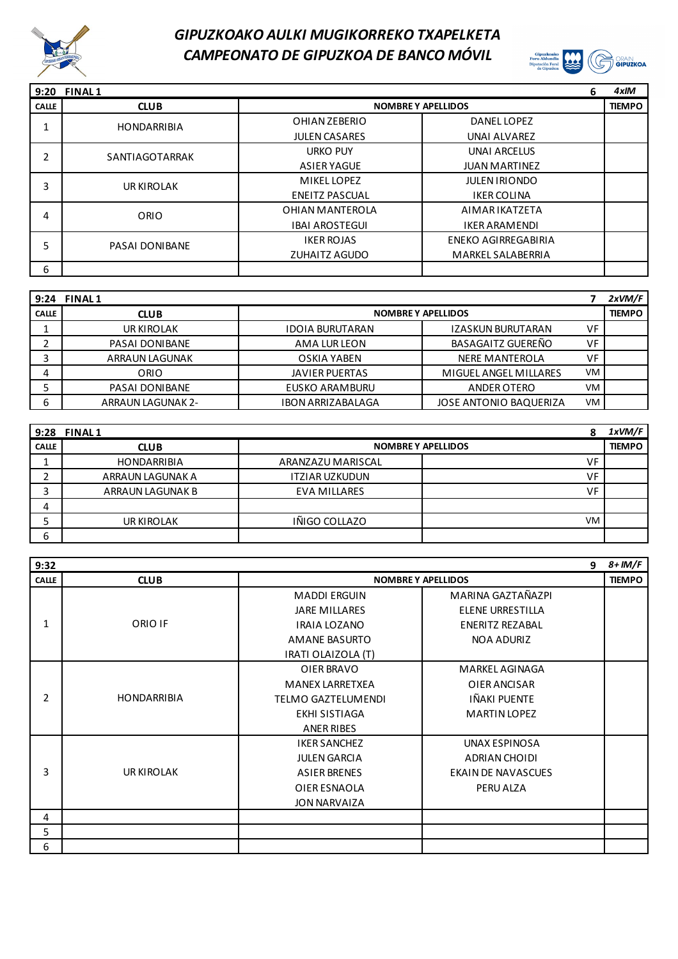



|              | 9:20 FINAL 1          |                       | 6                          | 4xIM          |
|--------------|-----------------------|-----------------------|----------------------------|---------------|
| <b>CALLE</b> | <b>CLUB</b>           |                       | <b>NOMBRE Y APELLIDOS</b>  | <b>TIEMPO</b> |
|              | <b>HONDARRIBIA</b>    | OHIAN ZEBERIO         | DANEL LOPEZ                |               |
|              |                       | <b>JULEN CASARES</b>  | <b>UNAI ALVAREZ</b>        |               |
| C.           | SANTIAGOTARRAK        | <b>URKO PUY</b>       | <b>UNAI ARCELUS</b>        |               |
|              |                       | <b>ASIER YAGUE</b>    | <b>JUAN MARTINEZ</b>       |               |
| 3            | UR KIROLAK            | <b>MIKEL LOPEZ</b>    | <b>JULEN IRIONDO</b>       |               |
|              |                       | <b>ENEITZ PASCUAL</b> | <b>IKER COLINA</b>         |               |
| 4            | ORIO                  | OHIAN MANTEROLA       | AIMAR IKATZETA             |               |
|              |                       | <b>IBAI AROSTEGUI</b> | <b>IKER ARAMENDI</b>       |               |
| 5            | <b>PASAI DONIBANE</b> | <b>IKER ROJAS</b>     | <b>ENEKO AGIRREGABIRIA</b> |               |
|              |                       | <b>ZUHAITZ AGUDO</b>  | <b>MARKEL SALABERRIA</b>   |               |
| 6            |                       |                       |                            |               |

|              | 9:24 FINAL1              |                           |                               |           | 2xVM/F        |
|--------------|--------------------------|---------------------------|-------------------------------|-----------|---------------|
| <b>CALLE</b> | <b>CLUB</b>              | <b>NOMBRE Y APELLIDOS</b> |                               |           | <b>TIEMPO</b> |
|              | UR KIROLAK               | <b>IDOIA BURUTARAN</b>    | IZASKUN BURUTARAN             | VF        |               |
|              | <b>PASAI DONIBANE</b>    | AMA LUR LEON              | BASAGAITZ GUEREÑO             | VF        |               |
|              | <b>ARRAUN LAGUNAK</b>    | OSKIA YABEN               | NERE MANTEROLA                | VF        |               |
| 4            | ORIO                     | <b>JAVIER PUERTAS</b>     | MIGUEL ANGEL MILLARES         | <b>VM</b> |               |
|              | <b>PASAI DONIBANE</b>    | EUSKO ARAMBURU            | ANDER OTERO                   | <b>VM</b> |               |
| ь            | <b>ARRAUN LAGUNAK 2-</b> | <b>IBON ARRIZABALAGA</b>  | <b>JOSE ANTONIO BAQUERIZA</b> | VM        |               |

|              | 9:28 FINAL 1       |                           |           | 1xVM/F        |
|--------------|--------------------|---------------------------|-----------|---------------|
| <b>CALLE</b> | <b>CLUB</b>        | <b>NOMBRE Y APELLIDOS</b> |           | <b>TIEMPO</b> |
|              | <b>HONDARRIBIA</b> | ARANZAZU MARISCAL         | VF        |               |
|              | ARRAUN LAGUNAK A   | <b>ITZIAR UZKUDUN</b>     | VF        |               |
|              | ARRAUN LAGUNAK B   | <b>EVA MILLARES</b>       | VF        |               |
| 4            |                    |                           |           |               |
|              | UR KIROLAK         | IÑIGO COLLAZO             | <b>VM</b> |               |
| ь            |                    |                           |           |               |

| 9:32           |                    |                           |                           | 9 $8 + 1M/F$  |
|----------------|--------------------|---------------------------|---------------------------|---------------|
| <b>CALLE</b>   | <b>CLUB</b>        | <b>NOMBRE Y APELLIDOS</b> |                           | <b>TIEMPO</b> |
|                |                    | <b>MADDI ERGUIN</b>       | MARINA GAZTAÑAZPI         |               |
|                |                    | <b>JARE MILLARES</b>      | <b>ELENE URRESTILLA</b>   |               |
| 1              | ORIO IF            | <b>IRAIA LOZANO</b>       | ENERITZ REZABAL           |               |
|                |                    | <b>AMANE BASURTO</b>      | <b>NOA ADURIZ</b>         |               |
|                |                    | IRATI OLAIZOLA (T)        |                           |               |
|                |                    | OIER BRAVO                | MARKEL AGINAGA            |               |
|                |                    | <b>MANEX LARRETXEA</b>    | OIER ANCISAR              |               |
| $\overline{2}$ | <b>HONDARRIBIA</b> | <b>TELMO GAZTELUMENDI</b> | IÑAKI PUENTE              |               |
|                |                    | EKHI SISTIAGA             | <b>MARTIN LOPEZ</b>       |               |
|                |                    | <b>ANER RIBES</b>         |                           |               |
|                |                    | <b>IKER SANCHEZ</b>       | UNAX ESPINOSA             |               |
|                |                    | <b>JULEN GARCIA</b>       | ADRIAN CHOIDI             |               |
| 3              | UR KIROLAK         | <b>ASIER BRENES</b>       | <b>EKAIN DE NAVASCUES</b> |               |
|                |                    | OIER ESNAOLA              | PERU ALZA                 |               |
|                |                    | <b>JON NARVAIZA</b>       |                           |               |
| 4              |                    |                           |                           |               |
| 5              |                    |                           |                           |               |
| 6              |                    |                           |                           |               |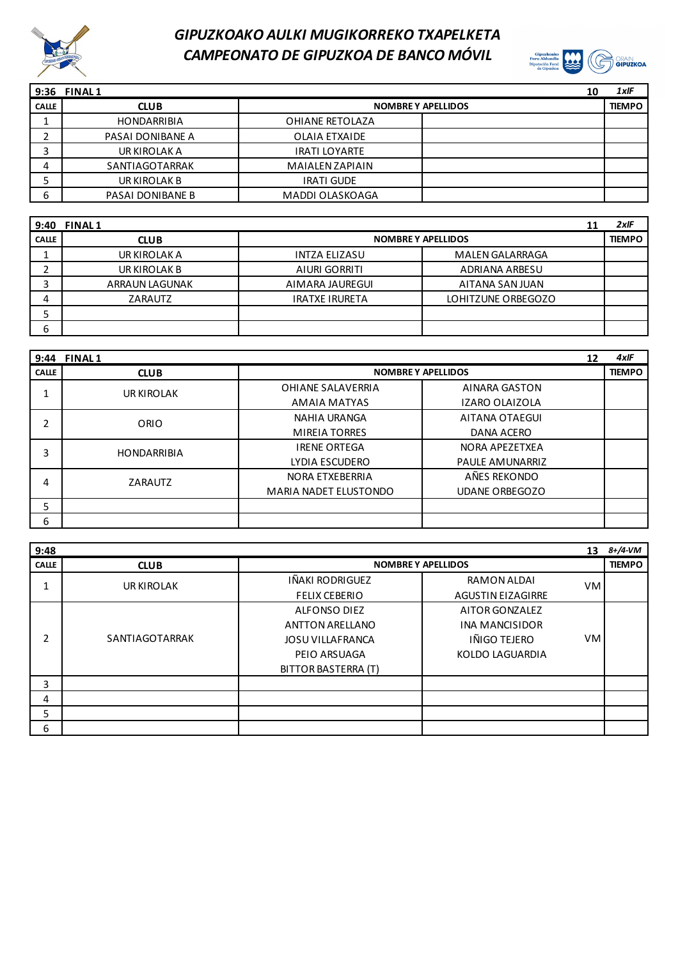



| 9:36         | <b>FINAL1</b>      |                           | 10 | $1x$ IF       |
|--------------|--------------------|---------------------------|----|---------------|
| <b>CALLE</b> | <b>CLUB</b>        | <b>NOMBRE Y APELLIDOS</b> |    | <b>TIEMPO</b> |
|              | <b>HONDARRIBIA</b> | OHIANE RETOLAZA           |    |               |
|              | PASAI DONIBANE A   | OLAIA ETXAIDE             |    |               |
|              | UR KIROLAK A       | <b>IRATI LOYARTE</b>      |    |               |
| 4            | SANTIAGOTARRAK     | <b>MAIALEN ZAPIAIN</b>    |    |               |
|              | UR KIROLAK B       | <b>IRATI GUDE</b>         |    |               |
| ь            | PASAI DONIBANE B   | MADDI OLASKOAGA           |    |               |

| 9:40         | <b>FINAL1</b>         |                           | 11                     | $2x$ IF       |
|--------------|-----------------------|---------------------------|------------------------|---------------|
| <b>CALLE</b> | <b>CLUB</b>           | <b>NOMBRE Y APELLIDOS</b> |                        | <b>TIEMPO</b> |
|              | UR KIROLAK A          | <b>INTZA ELIZASU</b>      | <b>MALEN GALARRAGA</b> |               |
|              | UR KIROLAK B          | AIURI GORRITI             | <b>ADRIANA ARBESU</b>  |               |
| ر            | <b>ARRAUN LAGUNAK</b> | AIMARA JAUREGUI           | AITANA SAN JUAN        |               |
| 4            | ZARAUTZ               | <b>IRATXE IRURETA</b>     | LOHITZUNE ORBEGOZO     |               |
|              |                       |                           |                        |               |
| 6            |                       |                           |                        |               |

| 9:44         | <b>FINAL1</b>      |                          | 12                        | $4x$ IF       |
|--------------|--------------------|--------------------------|---------------------------|---------------|
| <b>CALLE</b> | <b>CLUB</b>        |                          | <b>NOMBRE Y APELLIDOS</b> | <b>TIEMPO</b> |
|              | UR KIROLAK         | <b>OHIANE SALAVERRIA</b> | <b>AINARA GASTON</b>      |               |
|              |                    | AMAIA MATYAS             | <b>IZARO OLAIZOLA</b>     |               |
| ∍            | ORIO               | <b>NAHIA URANGA</b>      | AITANA OTAEGUI            |               |
|              |                    | <b>MIREIA TORRES</b>     | DANA ACERO                |               |
| 3            | <b>HONDARRIBIA</b> | <b>IRENE ORTEGA</b>      | NORA APEZETXEA            |               |
|              |                    | LYDIA ESCUDERO           | <b>PAULE AMUNARRIZ</b>    |               |
| 4            | ZARAUTZ            | NORA ETXEBERRIA          | AÑES REKONDO              |               |
|              |                    | MARIA NADET ELUSTONDO    | <b>UDANE ORBEGOZO</b>     |               |
| 5            |                    |                          |                           |               |
| 6            |                    |                          |                           |               |

| 9:48         |                |                            |                           | 13  | $8 + 14 - VM$ |
|--------------|----------------|----------------------------|---------------------------|-----|---------------|
| <b>CALLE</b> | <b>CLUB</b>    |                            | <b>NOMBRE Y APELLIDOS</b> |     | <b>TIEMPO</b> |
| 1            | UR KIROLAK     | IÑAKI RODRIGUEZ            | RAMON ALDAI               | VM. |               |
|              |                | <b>FELIX CEBERIO</b>       | <b>AGUSTIN EIZAGIRRE</b>  |     |               |
|              |                | <b>ALFONSO DIEZ</b>        | AITOR GONZALEZ            |     |               |
|              | SANTIAGOTARRAK | <b>ANTTON ARELLANO</b>     | <b>INA MANCISIDOR</b>     |     |               |
| 2            |                | <b>JOSU VILLAFRANCA</b>    | IÑIGO TEJERO              | VM  |               |
|              |                | PEIO ARSUAGA               | KOLDO LAGUARDIA           |     |               |
|              |                | <b>BITTOR BASTERRA (T)</b> |                           |     |               |
| 3            |                |                            |                           |     |               |
| 4            |                |                            |                           |     |               |
| 5            |                |                            |                           |     |               |
| 6            |                |                            |                           |     |               |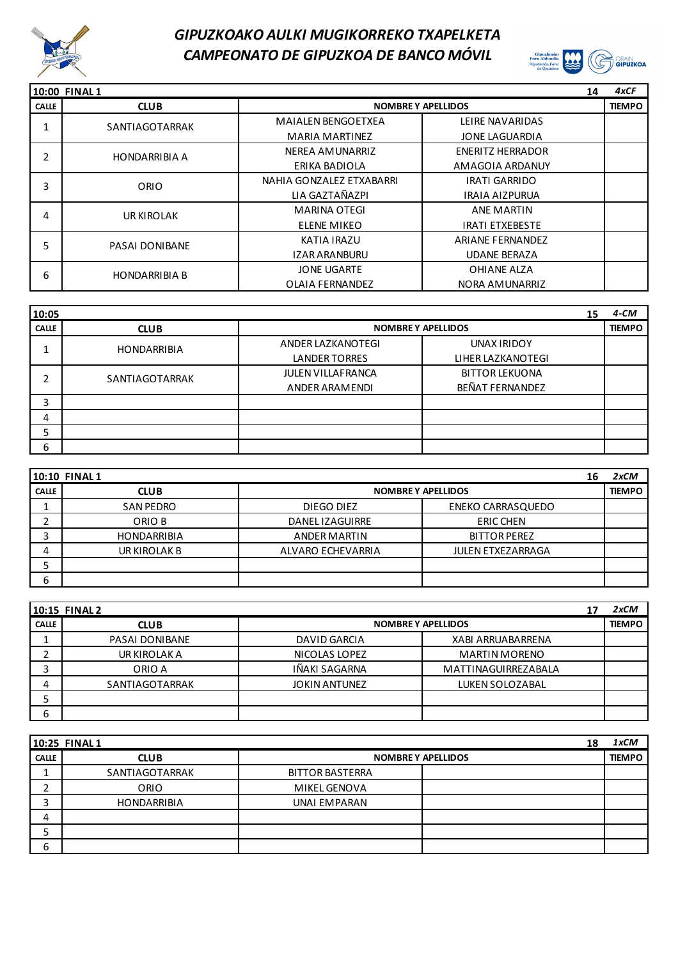



|              | 10:00 FINAL1          |                           | 14                        | 4xCF          |
|--------------|-----------------------|---------------------------|---------------------------|---------------|
| <b>CALLE</b> | <b>CLUB</b>           |                           | <b>NOMBRE Y APELLIDOS</b> | <b>TIEMPO</b> |
|              | SANTIAGOTARRAK        | <b>MAIALEN BENGOETXEA</b> | LEIRE NAVARIDAS           |               |
|              |                       | <b>MARIA MARTINEZ</b>     | JONE LAGUARDIA            |               |
| 2            | <b>HONDARRIBIA A</b>  | NEREA AMUNARRIZ           | <b>ENERITZ HERRADOR</b>   |               |
|              |                       | ERIKA BADIOLA             | AMAGOIA ARDANUY           |               |
| 3            | ORIO                  | NAHIA GONZALEZ ETXABARRI  | <b>IRATI GARRIDO</b>      |               |
|              |                       | LIA GAZTAÑAZPI            | <b>IRAIA AIZPURUA</b>     |               |
| 4            | UR KIROLAK            | <b>MARINA OTEGI</b>       | <b>ANE MARTIN</b>         |               |
|              |                       | <b>ELENE MIKEO</b>        | <b>IRATI ETXEBESTE</b>    |               |
| 5            | <b>PASAI DONIBANE</b> | KATIA IRAZU               | <b>ARIANE FERNANDEZ</b>   |               |
|              |                       | <b>IZAR ARANBURU</b>      | <b>UDANE BERAZA</b>       |               |
| 6            | <b>HONDARRIBIA B</b>  | <b>JONE UGARTE</b>        | OHIANE ALZA               |               |
|              |                       | <b>OLAIA FERNANDEZ</b>    | NORA AMUNARRIZ            |               |

| 10:05        |                    |                           |                       | 15            | $4 - CM$ |
|--------------|--------------------|---------------------------|-----------------------|---------------|----------|
| <b>CALLE</b> | <b>CLUB</b>        | <b>NOMBRE Y APELLIDOS</b> |                       | <b>TIEMPO</b> |          |
|              | <b>HONDARRIBIA</b> | ANDER LAZKANOTEGI         | UNAX IRIDOY           |               |          |
|              |                    | LANDER TORRES             | LIHER LAZKANOTEGI     |               |          |
|              | SANTIAGOTARRAK     | <b>JULEN VILLAFRANCA</b>  | <b>BITTOR LEKUONA</b> |               |          |
|              |                    | ANDER ARAMENDI            | BEÑAT FERNANDEZ       |               |          |
| 3            |                    |                           |                       |               |          |
| 4            |                    |                           |                       |               |          |
|              |                    |                           |                       |               |          |
| 6            |                    |                           |                       |               |          |

|              | <b>10:10 FINAL1</b> |                           |                          | 16 | 2xCM          |
|--------------|---------------------|---------------------------|--------------------------|----|---------------|
| <b>CALLE</b> | <b>CLUB</b>         | <b>NOMBRE Y APELLIDOS</b> |                          |    | <b>TIEMPO</b> |
|              | <b>SAN PEDRO</b>    | DIEGO DIEZ                | <b>ENEKO CARRASQUEDO</b> |    |               |
|              | ORIO B              | DANEL IZAGUIRRE           | <b>ERIC CHEN</b>         |    |               |
|              | <b>HONDARRIBIA</b>  | <b>ANDER MARTIN</b>       | <b>BITTOR PEREZ</b>      |    |               |
| 4            | UR KIROLAK B        | ALVARO ECHEVARRIA         | <b>JULEN ETXEZARRAGA</b> |    |               |
| ┙            |                     |                           |                          |    |               |
| 6            |                     |                           |                          |    |               |

|              | 10:15 FINAL 2  |                                             | 2xCM          |
|--------------|----------------|---------------------------------------------|---------------|
| <b>CALLE</b> | <b>CLUB</b>    | <b>NOMBRE Y APELLIDOS</b>                   | <b>TIEMPO</b> |
|              | PASAI DONIBANE | DAVID GARCIA<br><b>XABI ARRUABARRENA</b>    |               |
|              | UR KIROLAK A   | NICOLAS LOPEZ<br><b>MARTIN MORENO</b>       |               |
|              | ORIO A         | <b>IÑAKI SAGARNA</b><br>MATTINAGUIRREZABALA |               |
|              | SANTIAGOTARRAK | <b>JOKIN ANTUNEZ</b><br>LUKEN SOLOZABAL     |               |
|              |                |                                             |               |
| 6            |                |                                             |               |

|              | 10:25 FINAL 1      | 18                        | 1xCM          |
|--------------|--------------------|---------------------------|---------------|
| <b>CALLE</b> | <b>CLUB</b>        | <b>NOMBRE Y APELLIDOS</b> | <b>TIEMPO</b> |
|              | SANTIAGOTARRAK     | <b>BITTOR BASTERRA</b>    |               |
|              | ORIO               | MIKEL GENOVA              |               |
| ┑            | <b>HONDARRIBIA</b> | UNAI EMPARAN              |               |
| 4            |                    |                           |               |
|              |                    |                           |               |
| 6            |                    |                           |               |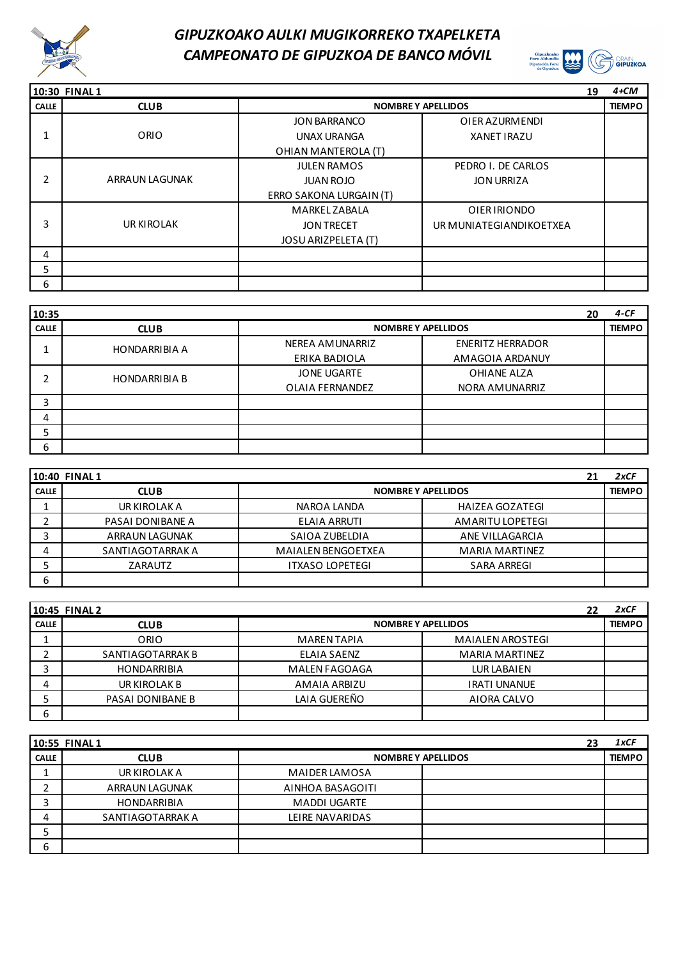



|              | 10:30 FINAL 1         |                            | 19                      | $4+CM$        |
|--------------|-----------------------|----------------------------|-------------------------|---------------|
| <b>CALLE</b> | <b>CLUB</b>           | <b>NOMBRE Y APELLIDOS</b>  |                         | <b>TIEMPO</b> |
|              |                       | <b>JON BARRANCO</b>        | OIER AZURMENDI          |               |
|              | ORIO                  | <b>UNAX URANGA</b>         | <b>XANET IRAZU</b>      |               |
|              |                       | OHIAN MANTEROLA (T)        |                         |               |
|              |                       | <b>JULEN RAMOS</b>         | PEDRO I. DE CARLOS      |               |
| 2            | <b>ARRAUN LAGUNAK</b> | <b>JUAN ROJO</b>           | <b>JON URRIZA</b>       |               |
|              |                       | ERRO SAKONA LURGAIN (T)    |                         |               |
|              |                       | <b>MARKEL ZABALA</b>       | OIER IRIONDO            |               |
| 3            | UR KIROLAK            | <b>JON TRECET</b>          | UR MUNIATEGIANDIKOETXEA |               |
|              |                       | <b>JOSU ARIZPELETA (T)</b> |                         |               |
| 4            |                       |                            |                         |               |
| 5            |                       |                            |                         |               |
| 6            |                       |                            |                         |               |

| 10:35        |                      |                                       | 20                                         | $4-CF$        |
|--------------|----------------------|---------------------------------------|--------------------------------------------|---------------|
| <b>CALLE</b> | <b>CLUB</b>          | <b>NOMBRE Y APELLIDOS</b>             |                                            | <b>TIEMPO</b> |
|              | <b>HONDARRIBIA A</b> | NEREA AMUNARRIZ<br>ERIKA BADIOLA      | <b>ENERITZ HERRADOR</b><br>AMAGOIA ARDANUY |               |
| ∍            | <b>HONDARRIBIA B</b> | <b>JONE UGARTE</b><br>OLAIA FERNANDEZ | OHIANE ALZA<br>NORA AMUNARRIZ              |               |
| 3            |                      |                                       |                                            |               |
| 4            |                      |                                       |                                            |               |
|              |                      |                                       |                                            |               |
| 6            |                      |                                       |                                            |               |

|              | 10:40 FINAL 1         |                           | 21                     | 2xCF          |
|--------------|-----------------------|---------------------------|------------------------|---------------|
| <b>CALLE</b> | <b>CLUB</b>           | <b>NOMBRE Y APELLIDOS</b> |                        | <b>TIEMPO</b> |
|              | UR KIROLAK A          | NAROA LANDA               | <b>HAIZEA GOZATEGI</b> |               |
|              | PASAI DONIBANE A      | ELAIA ARRUTI              | AMARITU LOPETEGI       |               |
|              | <b>ARRAUN LAGUNAK</b> | SAIOA ZUBELDIA            | ANE VILLAGARCIA        |               |
| 4            | SANTIAGOTARRAK A      | <b>MAIALEN BENGOETXEA</b> | <b>MARIA MARTINEZ</b>  |               |
|              | ZARAUTZ               | <b>ITXASO LOPETEGI</b>    | <b>SARA ARREGI</b>     |               |
| 6            |                       |                           |                        |               |

|              | 10:45 FINAL 2      |                           |                         | 22 | 2xCF          |
|--------------|--------------------|---------------------------|-------------------------|----|---------------|
| <b>CALLE</b> | <b>CLUB</b>        | <b>NOMBRE Y APELLIDOS</b> |                         |    | <b>TIEMPO</b> |
|              | ORIO               | <b>MAREN TAPIA</b>        | <b>MAIALEN AROSTEGI</b> |    |               |
|              | SANTIAGOTARRAK B   | <b>ELAIA SAENZ</b>        | <b>MARIA MARTINEZ</b>   |    |               |
|              | <b>HONDARRIBIA</b> | <b>MALEN FAGOAGA</b>      | <b>LUR LABAIEN</b>      |    |               |
|              | UR KIROLAK B       | <b>AMAIA ARBIZU</b>       | <b>IRATI UNANUE</b>     |    |               |
|              | PASAI DONIBANE B   | LAIA GUEREÑO              | AIORA CALVO             |    |               |
| 6            |                    |                           |                         |    |               |

|              | 10:55 FINAL1          |                           | 23 | 1xCF          |
|--------------|-----------------------|---------------------------|----|---------------|
| <b>CALLE</b> | <b>CLUB</b>           | <b>NOMBRE Y APELLIDOS</b> |    | <b>TIEMPO</b> |
|              | UR KIROLAK A          | <b>MAIDER LAMOSA</b>      |    |               |
|              | <b>ARRAUN LAGUNAK</b> | AINHOA BASAGOITI          |    |               |
|              | <b>HONDARRIBIA</b>    | <b>MADDI UGARTE</b>       |    |               |
|              | SANTIAGOTARRAK A      | LEIRE NAVARIDAS           |    |               |
|              |                       |                           |    |               |
| ь            |                       |                           |    |               |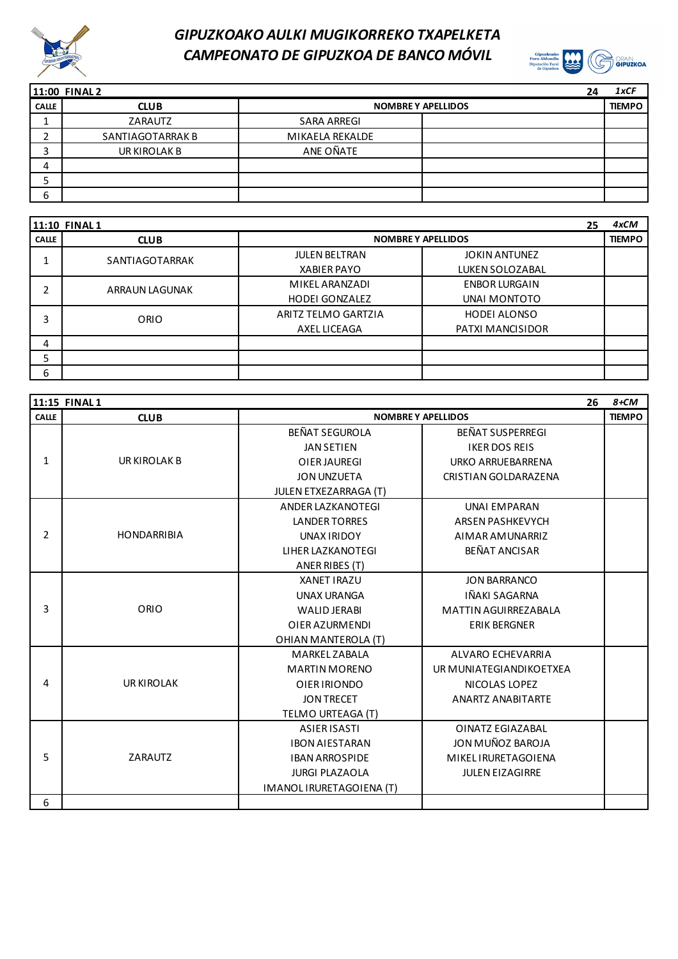



|              | 11:00 FINAL 2    | 24                        | 1xCF          |
|--------------|------------------|---------------------------|---------------|
| <b>CALLE</b> | <b>CLUB</b>      | <b>NOMBRE Y APELLIDOS</b> | <b>TIEMPO</b> |
|              | ZARAUTZ          | SARA ARREGI               |               |
|              | SANTIAGOTARRAK B | MIKAELA REKALDE           |               |
|              | UR KIROLAK B     | ANE OÑATE                 |               |
|              |                  |                           |               |
|              |                  |                           |               |
| ь            |                  |                           |               |

|              | <b>11:10 FINAL1</b> |                           | 25                   | 4xCM          |
|--------------|---------------------|---------------------------|----------------------|---------------|
| <b>CALLE</b> | <b>CLUB</b>         | <b>NOMBRE Y APELLIDOS</b> |                      | <b>TIEMPO</b> |
|              | SANTIAGOTARRAK      | <b>JULEN BELTRAN</b>      | <b>JOKIN ANTUNEZ</b> |               |
|              |                     | <b>XABIER PAYO</b>        | LUKEN SOLOZABAL      |               |
| ำ            | ARRAUN LAGUNAK      | MIKEL ARANZADI            | <b>ENBOR LURGAIN</b> |               |
|              |                     | <b>HODEI GONZALEZ</b>     | UNAI MONTOTO         |               |
| 3            | ORIO                | ARITZ TELMO GARTZIA       | <b>HODEI ALONSO</b>  |               |
|              |                     | AXEL LICEAGA              | PATXI MANCISIDOR     |               |
| 4            |                     |                           |                      |               |
| ∍            |                     |                           |                      |               |
| 6            |                     |                           |                      |               |

|                | 11:15 FINAL 1      |                          |                             | 26 | $8+CM$        |
|----------------|--------------------|--------------------------|-----------------------------|----|---------------|
| <b>CALLE</b>   | <b>CLUB</b>        |                          | <b>NOMBRE Y APELLIDOS</b>   |    | <b>TIEMPO</b> |
|                |                    | BEÑAT SEGUROLA           | BEÑAT SUSPERREGI            |    |               |
|                |                    | <b>JAN SETIEN</b>        | <b>IKER DOS REIS</b>        |    |               |
| 1              | UR KIROLAK B       | <b>OIER JAUREGI</b>      | <b>URKO ARRUEBARRENA</b>    |    |               |
|                |                    | <b>JON UNZUETA</b>       | <b>CRISTIAN GOLDARAZENA</b> |    |               |
|                |                    | JULEN ETXEZARRAGA (T)    |                             |    |               |
|                |                    | <b>ANDER LAZKANOTEGI</b> | <b>UNAI EMPARAN</b>         |    |               |
|                |                    | <b>LANDER TORRES</b>     | <b>ARSEN PASHKEVYCH</b>     |    |               |
| $\overline{2}$ | <b>HONDARRIBIA</b> | UNAX IRIDOY              | AIMAR AMUNARRIZ             |    |               |
|                |                    | LIHER LAZKANOTEGI        | <b>BEÑAT ANCISAR</b>        |    |               |
|                |                    | ANER RIBES (T)           |                             |    |               |
|                |                    | <b>XANET IRAZU</b>       | <b>JON BARRANCO</b>         |    |               |
|                |                    | <b>UNAX URANGA</b>       | IÑAKI SAGARNA               |    |               |
| 3              | ORIO               | <b>WALID JERABI</b>      | <b>MATTIN AGUIRREZABALA</b> |    |               |
|                |                    | OIER AZURMENDI           | <b>ERIK BERGNER</b>         |    |               |
|                |                    | OHIAN MANTEROLA (T)      |                             |    |               |
|                |                    | <b>MARKEL ZABALA</b>     | <b>ALVARO ECHEVARRIA</b>    |    |               |
|                |                    | <b>MARTIN MORENO</b>     | UR MUNIATEGIANDIKOETXEA     |    |               |
| 4              | <b>UR KIROLAK</b>  | OIER IRIONDO             | NICOLAS LOPEZ               |    |               |
|                |                    | <b>JON TRECET</b>        | <b>ANARTZ ANABITARTE</b>    |    |               |
|                |                    | TELMO URTEAGA (T)        |                             |    |               |
|                |                    | <b>ASIER ISASTI</b>      | OINATZ EGIAZABAL            |    |               |
|                |                    | <b>IBON AIESTARAN</b>    | JON MUÑOZ BAROJA            |    |               |
| 5              | ZARAUTZ            | <b>IBAN ARROSPIDE</b>    | <b>MIKELIRURETAGOIENA</b>   |    |               |
|                |                    | <b>JURGI PLAZAOLA</b>    | <b>JULEN EIZAGIRRE</b>      |    |               |
|                |                    | IMANOL IRURETAGOIENA (T) |                             |    |               |
| 6              |                    |                          |                             |    |               |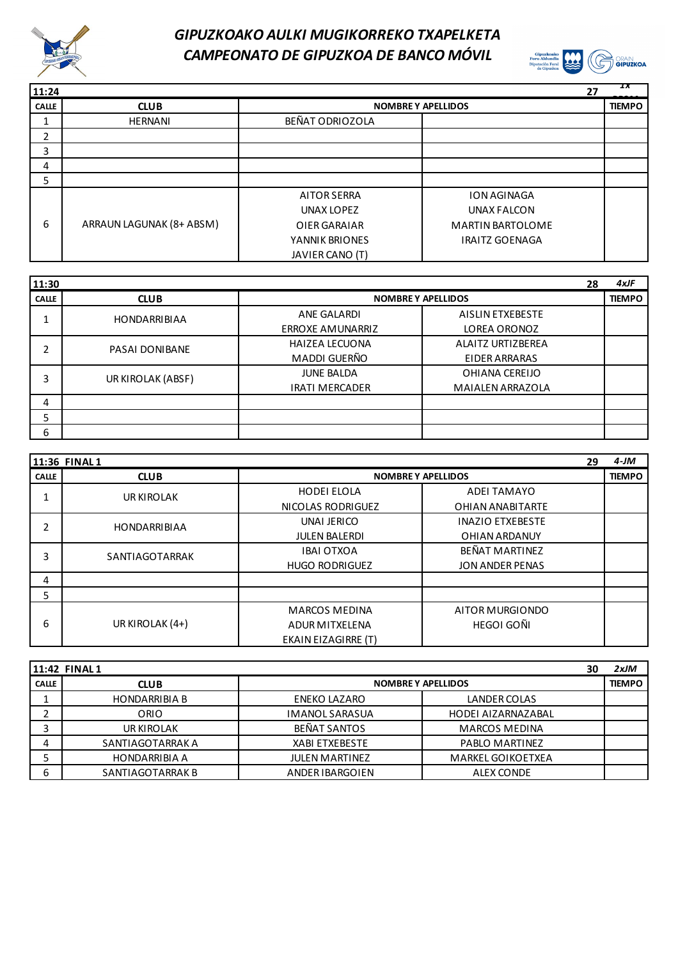



| 11:24        |                          |                           | 27                      | ıх            |
|--------------|--------------------------|---------------------------|-------------------------|---------------|
| <b>CALLE</b> | <b>CLUB</b>              | <b>NOMBRE Y APELLIDOS</b> |                         | <b>TIEMPO</b> |
|              | <b>HERNANI</b>           | BEÑAT ODRIOZOLA           |                         |               |
| າ<br>∠       |                          |                           |                         |               |
| 3            |                          |                           |                         |               |
| 4            |                          |                           |                         |               |
| 5            |                          |                           |                         |               |
|              |                          | <b>AITOR SERRA</b>        | <b>ION AGINAGA</b>      |               |
|              |                          | UNAX LOPEZ                | UNAX FALCON             |               |
| 6            | ARRAUN LAGUNAK (8+ ABSM) | OIER GARAIAR              | <b>MARTIN BARTOLOME</b> |               |
|              |                          | YANNIK BRIONES            | <b>IRAITZ GOENAGA</b>   |               |
|              |                          | JAVIER CANO (T)           |                         |               |

| 11:30        |                     |                         |                           | 28 | $4x$ JF       |
|--------------|---------------------|-------------------------|---------------------------|----|---------------|
| <b>CALLE</b> | <b>CLUB</b>         |                         | <b>NOMBRE Y APELLIDOS</b> |    | <b>TIEMPO</b> |
|              | <b>HONDARRIBIAA</b> | ANE GALARDI             | AISLIN ETXEBESTE          |    |               |
|              |                     | <b>ERROXE AMUNARRIZ</b> | LOREA ORONOZ              |    |               |
|              | PASAI DONIBANE      | <b>HAIZEA LECUONA</b>   | <b>ALAITZ URTIZBEREA</b>  |    |               |
|              |                     | MADDI GUERÑO            | EIDER ARRARAS             |    |               |
| 3            | UR KIROLAK (ABSF)   | <b>JUNE BALDA</b>       | OHIANA CEREIJO            |    |               |
|              |                     | <b>IRATI MERCADER</b>   | <b>MAIALEN ARRAZOLA</b>   |    |               |
| 4            |                     |                         |                           |    |               |
| 5            |                     |                         |                           |    |               |
| 6            |                     |                         |                           |    |               |

|              | 11:36 FINAL 1       |                           | 29                      | $4-JM$        |
|--------------|---------------------|---------------------------|-------------------------|---------------|
| <b>CALLE</b> | <b>CLUB</b>         | <b>NOMBRE Y APELLIDOS</b> |                         | <b>TIEMPO</b> |
|              | UR KIROLAK          | <b>HODEI ELOLA</b>        | <b>ADEI TAMAYO</b>      |               |
|              |                     | NICOLAS RODRIGUEZ         | <b>OHIAN ANABITARTE</b> |               |
| 2            | <b>HONDARRIBIAA</b> | UNAI JERICO               | <b>INAZIO ETXEBESTE</b> |               |
|              |                     | <b>JULEN BALERDI</b>      | <b>OHIAN ARDANUY</b>    |               |
| 3            | SANTIAGOTARRAK      | <b>IBAI OTXOA</b>         | BEÑAT MARTINEZ          |               |
|              |                     | <b>HUGO RODRIGUEZ</b>     | <b>JON ANDER PENAS</b>  |               |
| 4            |                     |                           |                         |               |
| 5            |                     |                           |                         |               |
|              |                     | <b>MARCOS MEDINA</b>      | AITOR MURGIONDO         |               |
| 6            | UR KIROLAK (4+)     | <b>ADUR MITXELENA</b>     | HEGOI GOÑI              |               |
|              |                     | EKAIN EIZAGIRRE (T)       |                         |               |

|              | 11:42 FINAL1         |                           |                          | 30 | 2xJM          |
|--------------|----------------------|---------------------------|--------------------------|----|---------------|
| <b>CALLE</b> | <b>CLUB</b>          | <b>NOMBRE Y APELLIDOS</b> |                          |    | <b>TIEMPO</b> |
|              | <b>HONDARRIBIA B</b> | ENEKO LAZARO              | <b>LANDER COLAS</b>      |    |               |
|              | ORIO                 | <b>IMANOL SARASUA</b>     | HODEI AIZARNAZABAL       |    |               |
|              | UR KIROLAK           | BEÑAT SANTOS              | <b>MARCOS MEDINA</b>     |    |               |
| 4            | SANTIAGOTARRAK A     | <b>XABI ETXEBESTE</b>     | PABLO MARTINEZ           |    |               |
|              | <b>HONDARRIBIA A</b> | <b>JULEN MARTINEZ</b>     | <b>MARKEL GOIKOETXEA</b> |    |               |
| ь            | SANTIAGOTARRAK B     | ANDER IBARGOIEN           | <b>ALEX CONDE</b>        |    |               |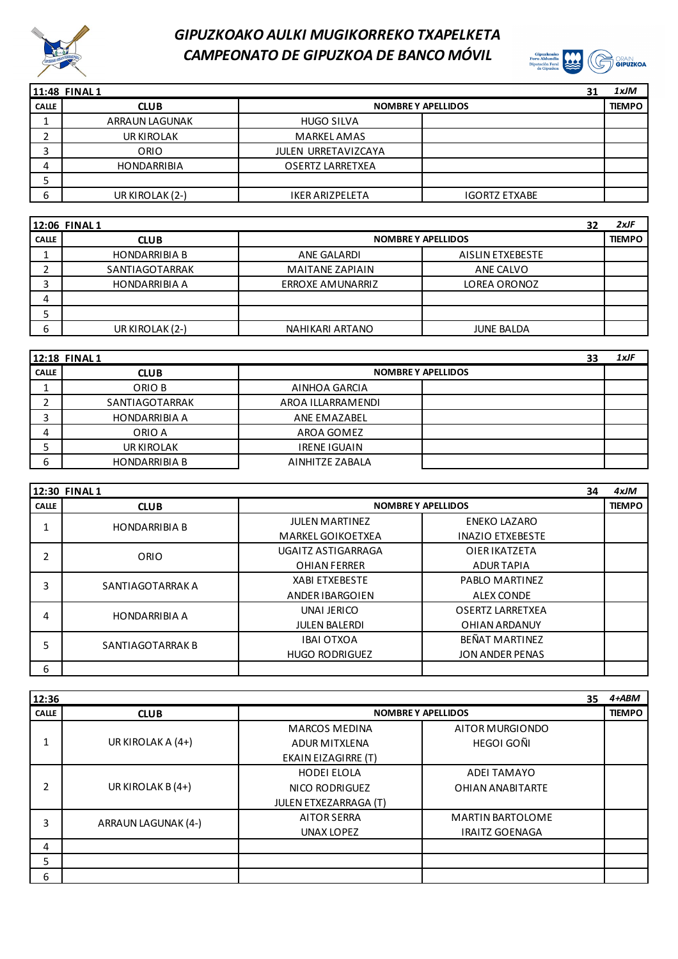



|              | 11:48 FINAL1          |                            | 31                   | 1xJM          |
|--------------|-----------------------|----------------------------|----------------------|---------------|
| <b>CALLE</b> | <b>CLUB</b>           | <b>NOMBRE Y APELLIDOS</b>  |                      | <b>TIEMPO</b> |
|              | <b>ARRAUN LAGUNAK</b> | <b>HUGO SILVA</b>          |                      |               |
| ∠            | UR KIROLAK            | <b>MARKEL AMAS</b>         |                      |               |
|              | ORIO                  | <b>JULEN URRETAVIZCAYA</b> |                      |               |
| 4            | <b>HONDARRIBIA</b>    | <b>OSERTZ LARRETXEA</b>    |                      |               |
| э            |                       |                            |                      |               |
| 6            | UR KIROLAK (2-)       | <b>IKER ARIZPELETA</b>     | <b>IGORTZ ETXABE</b> |               |

|              | 12:06 FINAL1         |                           |                   | 32 | $2x$ JF       |
|--------------|----------------------|---------------------------|-------------------|----|---------------|
| <b>CALLE</b> | <b>CLUB</b>          | <b>NOMBRE Y APELLIDOS</b> |                   |    | <b>TIEMPO</b> |
|              | <b>HONDARRIBIA B</b> | ANE GALARDI               | AISLIN ETXEBESTE  |    |               |
|              | SANTIAGOTARRAK       | <b>MAITANE ZAPIAIN</b>    | ANE CALVO         |    |               |
| ت            | <b>HONDARRIBIA A</b> | <b>ERROXE AMUNARRIZ</b>   | LOREA ORONOZ      |    |               |
| 4            |                      |                           |                   |    |               |
|              |                      |                           |                   |    |               |
| 6            | UR KIROLAK (2-)      | NAHIKARI ARTANO           | <b>JUNE BALDA</b> |    |               |

|              | 12:18 FINAL 1        |                           | 33 | 1xJF |
|--------------|----------------------|---------------------------|----|------|
| <b>CALLE</b> | <b>CLUB</b>          | <b>NOMBRE Y APELLIDOS</b> |    |      |
|              | ORIO B               | AINHOA GARCIA             |    |      |
|              | SANTIAGOTARRAK       | AROA ILLARRAMENDI         |    |      |
|              | <b>HONDARRIBIA A</b> | ANE EMAZABEL              |    |      |
| 4            | ORIO A               | AROA GOMEZ                |    |      |
|              | UR KIROLAK           | <b>IRENE IGUAIN</b>       |    |      |
| ь            | <b>HONDARRIBIA B</b> | AINHITZE ZABALA           |    |      |

|              | <b>12:30 FINAL1</b>  |                           |                         | 34 | 4xJM          |
|--------------|----------------------|---------------------------|-------------------------|----|---------------|
| <b>CALLE</b> | <b>CLUB</b>          | <b>NOMBRE Y APELLIDOS</b> |                         |    | <b>TIEMPO</b> |
|              | <b>HONDARRIBIA B</b> | <b>JULEN MARTINEZ</b>     | <b>ENEKO LAZARO</b>     |    |               |
|              |                      | <b>MARKEL GOIKOETXEA</b>  | <b>INAZIO ETXEBESTE</b> |    |               |
| 2            | ORIO                 | UGAITZ ASTIGARRAGA        | <b>OIERIKATZETA</b>     |    |               |
|              |                      | <b>OHIAN FERRER</b>       | <b>ADURTAPIA</b>        |    |               |
| 3            | SANTIAGOTARRAK A     | <b>XABI ETXEBESTE</b>     | PABLO MARTINEZ          |    |               |
|              |                      | ANDER IBARGOIEN           | <b>ALEX CONDE</b>       |    |               |
| 4            | <b>HONDARRIBIA A</b> | UNAI JERICO               | OSERTZ LARRETXEA        |    |               |
|              |                      | <b>JULEN BALERDI</b>      | OHIAN ARDANUY           |    |               |
| 5            | SANTIAGOTARRAK B     | <b>IBAI OTXOA</b>         | BEÑAT MARTINEZ          |    |               |
|              |                      | <b>HUGO RODRIGUEZ</b>     | <b>JON ANDER PENAS</b>  |    |               |
| 6            |                      |                           |                         |    |               |

| 12:36        |                     |                              | 35                        | $4 + ABM$     |
|--------------|---------------------|------------------------------|---------------------------|---------------|
| <b>CALLE</b> | <b>CLUB</b>         |                              | <b>NOMBRE Y APELLIDOS</b> | <b>TIEMPO</b> |
|              |                     | <b>MARCOS MEDINA</b>         | AITOR MURGIONDO           |               |
|              | UR KIROLAK A (4+)   | <b>ADUR MITXLENA</b>         | HEGOI GOÑI                |               |
|              |                     | <b>EKAIN EIZAGIRRE (T)</b>   |                           |               |
|              |                     | <b>HODEI ELOLA</b>           | <b>ADEI TAMAYO</b>        |               |
| 2            | UR KIROLAK B (4+)   | NICO RODRIGUEZ               | <b>OHIAN ANABITARTE</b>   |               |
|              |                     | <b>JULEN ETXEZARRAGA (T)</b> |                           |               |
| 3            | ARRAUN LAGUNAK (4-) | <b>AITOR SERRA</b>           | <b>MARTIN BARTOLOME</b>   |               |
|              |                     | UNAX LOPEZ                   | <b>IRAITZ GOENAGA</b>     |               |
| 4            |                     |                              |                           |               |
| 5            |                     |                              |                           |               |
| 6            |                     |                              |                           |               |